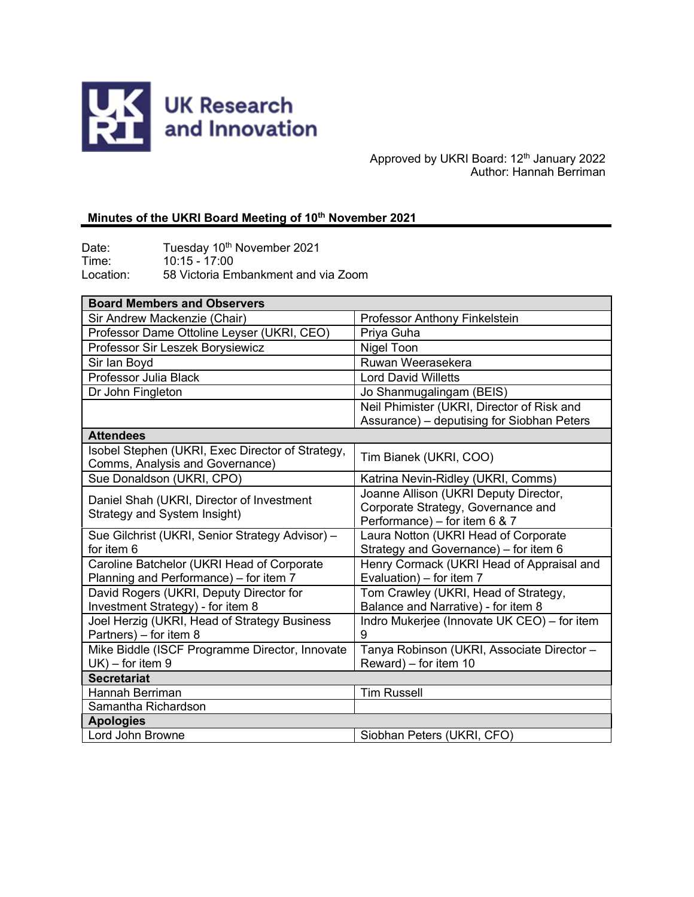

Approved by UKRI Board: 12<sup>th</sup> January 2022 Author: Hannah Berriman

# **Minutes of the UKRI Board Meeting of 10th November 2021**

Date: Tuesday 10<sup>th</sup> November 2021 Time: 10:15 - 17:00 Location: 58 Victoria Embankment and via Zoom

| <b>Board Members and Observers</b>                                                   |                                                                                                              |
|--------------------------------------------------------------------------------------|--------------------------------------------------------------------------------------------------------------|
| Sir Andrew Mackenzie (Chair)                                                         | Professor Anthony Finkelstein                                                                                |
| Professor Dame Ottoline Leyser (UKRI, CEO)                                           | Priya Guha                                                                                                   |
| Professor Sir Leszek Borysiewicz                                                     | Nigel Toon                                                                                                   |
| Sir lan Boyd                                                                         | Ruwan Weerasekera                                                                                            |
| Professor Julia Black                                                                | <b>Lord David Willetts</b>                                                                                   |
| Dr John Fingleton                                                                    | Jo Shanmugalingam (BEIS)                                                                                     |
|                                                                                      | Neil Phimister (UKRI, Director of Risk and                                                                   |
|                                                                                      | Assurance) - deputising for Siobhan Peters                                                                   |
| <b>Attendees</b>                                                                     |                                                                                                              |
| Isobel Stephen (UKRI, Exec Director of Strategy,<br>Comms, Analysis and Governance)  | Tim Bianek (UKRI, COO)                                                                                       |
| Sue Donaldson (UKRI, CPO)                                                            | Katrina Nevin-Ridley (UKRI, Comms)                                                                           |
| Daniel Shah (UKRI, Director of Investment<br>Strategy and System Insight)            | Joanne Allison (UKRI Deputy Director,<br>Corporate Strategy, Governance and<br>Performance) - for item 6 & 7 |
| Sue Gilchrist (UKRI, Senior Strategy Advisor) -<br>for item 6                        | Laura Notton (UKRI Head of Corporate<br>Strategy and Governance) - for item 6                                |
| Caroline Batchelor (UKRI Head of Corporate<br>Planning and Performance) - for item 7 | Henry Cormack (UKRI Head of Appraisal and<br>Evaluation) - for item 7                                        |
| David Rogers (UKRI, Deputy Director for<br>Investment Strategy) - for item 8         | Tom Crawley (UKRI, Head of Strategy,<br>Balance and Narrative) - for item 8                                  |
| Joel Herzig (UKRI, Head of Strategy Business<br>Partners) - for item 8               | Indro Mukerjee (Innovate UK CEO) - for item<br>9                                                             |
| Mike Biddle (ISCF Programme Director, Innovate<br>$UK$ ) – for item 9                | Tanya Robinson (UKRI, Associate Director -<br>Reward) – for item 10                                          |
| <b>Secretariat</b>                                                                   |                                                                                                              |
| Hannah Berriman                                                                      | <b>Tim Russell</b>                                                                                           |
| Samantha Richardson                                                                  |                                                                                                              |
| <b>Apologies</b>                                                                     |                                                                                                              |
| Lord John Browne                                                                     | Siobhan Peters (UKRI, CFO)                                                                                   |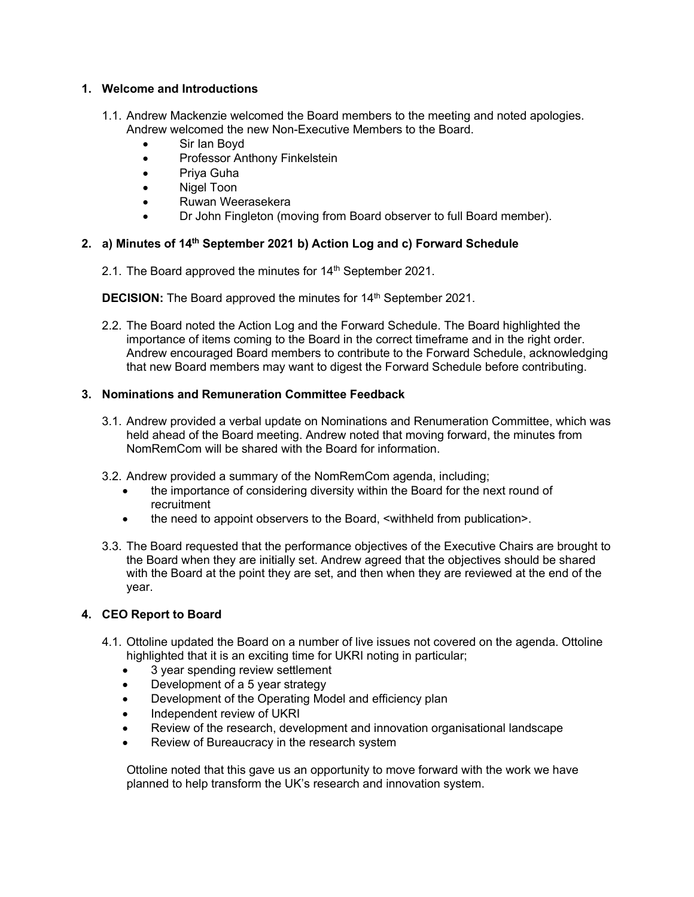## **1. Welcome and Introductions**

- 1.1. Andrew Mackenzie welcomed the Board members to the meeting and noted apologies. Andrew welcomed the new Non-Executive Members to the Board.
	- Sir Ian Boyd
	- Professor Anthony Finkelstein
	- Priya Guha
	- Nigel Toon
	- Ruwan Weerasekera
	- Dr John Fingleton (moving from Board observer to full Board member).

# **2. a) Minutes of 14th September 2021 b) Action Log and c) Forward Schedule**

2.1. The Board approved the minutes for 14<sup>th</sup> September 2021.

**DECISION:** The Board approved the minutes for 14<sup>th</sup> September 2021.

2.2. The Board noted the Action Log and the Forward Schedule. The Board highlighted the importance of items coming to the Board in the correct timeframe and in the right order. Andrew encouraged Board members to contribute to the Forward Schedule, acknowledging that new Board members may want to digest the Forward Schedule before contributing.

## **3. Nominations and Remuneration Committee Feedback**

- 3.1. Andrew provided a verbal update on Nominations and Renumeration Committee, which was held ahead of the Board meeting. Andrew noted that moving forward, the minutes from NomRemCom will be shared with the Board for information.
- 3.2. Andrew provided a summary of the NomRemCom agenda, including;
	- the importance of considering diversity within the Board for the next round of recruitment
	- the need to appoint observers to the Board, <withheld from publication>.
- 3.3. The Board requested that the performance objectives of the Executive Chairs are brought to the Board when they are initially set. Andrew agreed that the objectives should be shared with the Board at the point they are set, and then when they are reviewed at the end of the year.

# **4. CEO Report to Board**

- 4.1. Ottoline updated the Board on a number of live issues not covered on the agenda. Ottoline highlighted that it is an exciting time for UKRI noting in particular;
	- 3 year spending review settlement
	- Development of a 5 year strategy
	- Development of the Operating Model and efficiency plan
	- Independent review of UKRI
	- Review of the research, development and innovation organisational landscape
	- Review of Bureaucracy in the research system

Ottoline noted that this gave us an opportunity to move forward with the work we have planned to help transform the UK's research and innovation system.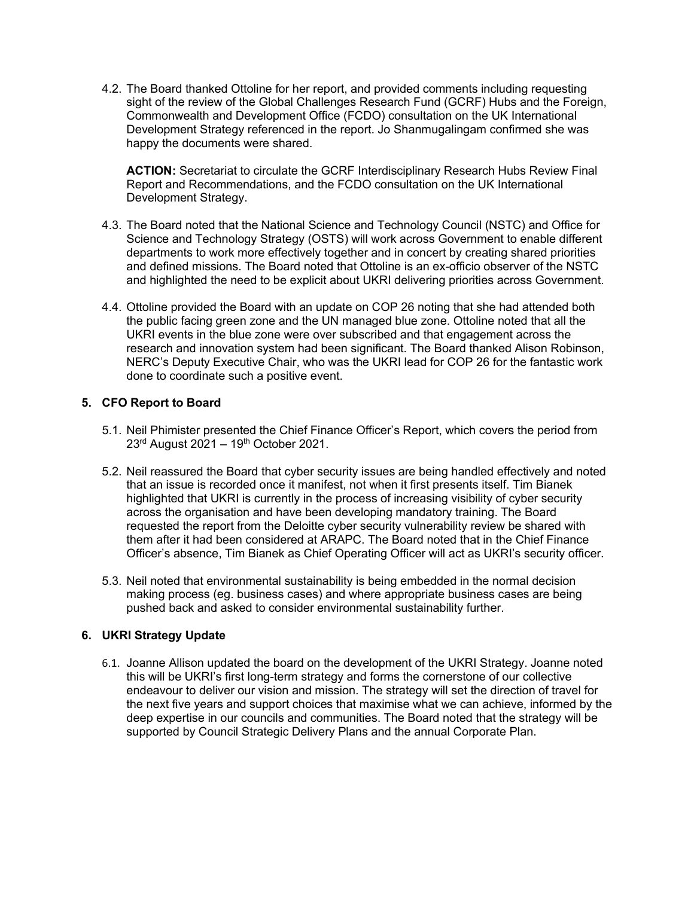4.2. The Board thanked Ottoline for her report, and provided comments including requesting sight of the review of the Global Challenges Research Fund (GCRF) Hubs and the Foreign, Commonwealth and Development Office (FCDO) consultation on the UK International Development Strategy referenced in the report. Jo Shanmugalingam confirmed she was happy the documents were shared.

**ACTION:** Secretariat to circulate the GCRF Interdisciplinary Research Hubs Review Final Report and Recommendations, and the FCDO consultation on the UK International Development Strategy.

- 4.3. The Board noted that the National Science and Technology Council (NSTC) and Office for Science and Technology Strategy (OSTS) will work across Government to enable different departments to work more effectively together and in concert by creating shared priorities and defined missions. The Board noted that Ottoline is an ex-officio observer of the NSTC and highlighted the need to be explicit about UKRI delivering priorities across Government.
- 4.4. Ottoline provided the Board with an update on COP 26 noting that she had attended both the public facing green zone and the UN managed blue zone. Ottoline noted that all the UKRI events in the blue zone were over subscribed and that engagement across the research and innovation system had been significant. The Board thanked Alison Robinson, NERC's Deputy Executive Chair, who was the UKRI lead for COP 26 for the fantastic work done to coordinate such a positive event.

## **5. CFO Report to Board**

- 5.1. Neil Phimister presented the Chief Finance Officer's Report, which covers the period from 23<sup>rd</sup> August 2021 – 19<sup>th</sup> October 2021.
- 5.2. Neil reassured the Board that cyber security issues are being handled effectively and noted that an issue is recorded once it manifest, not when it first presents itself. Tim Bianek highlighted that UKRI is currently in the process of increasing visibility of cyber security across the organisation and have been developing mandatory training. The Board requested the report from the Deloitte cyber security vulnerability review be shared with them after it had been considered at ARAPC. The Board noted that in the Chief Finance Officer's absence, Tim Bianek as Chief Operating Officer will act as UKRI's security officer.
- 5.3. Neil noted that environmental sustainability is being embedded in the normal decision making process (eg. business cases) and where appropriate business cases are being pushed back and asked to consider environmental sustainability further.

#### **6. UKRI Strategy Update**

6.1. Joanne Allison updated the board on the development of the UKRI Strategy. Joanne noted this will be UKRI's first long-term strategy and forms the cornerstone of our collective endeavour to deliver our vision and mission. The strategy will set the direction of travel for the next five years and support choices that maximise what we can achieve, informed by the deep expertise in our councils and communities. The Board noted that the strategy will be supported by Council Strategic Delivery Plans and the annual Corporate Plan.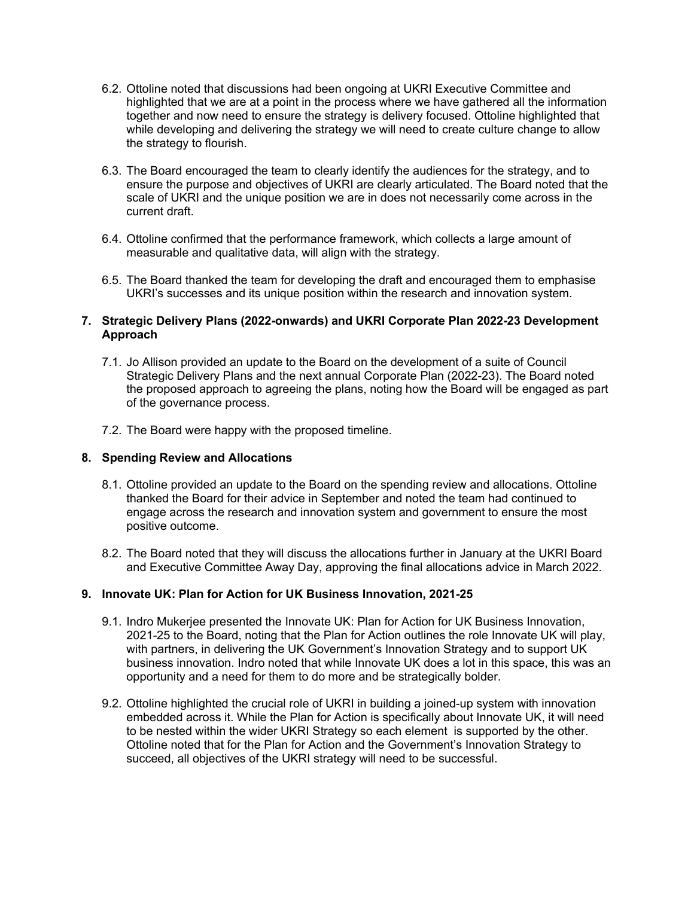- 6.2. Ottoline noted that discussions had been ongoing at UKRI Executive Committee and highlighted that we are at a point in the process where we have gathered all the information together and now need to ensure the strategy is delivery focused. Ottoline highlighted that while developing and delivering the strategy we will need to create culture change to allow the strategy to flourish.
- 6.3. The Board encouraged the team to clearly identify the audiences for the strategy, and to ensure the purpose and objectives of UKRI are clearly articulated. The Board noted that the scale of UKRI and the unique position we are in does not necessarily come across in the current draft.
- 6.4. Ottoline confirmed that the performance framework, which collects a large amount of measurable and qualitative data, will align with the strategy.
- 6.5. The Board thanked the team for developing the draft and encouraged them to emphasise UKRI's successes and its unique position within the research and innovation system.

### **7. Strategic Delivery Plans (2022-onwards) and UKRI Corporate Plan 2022-23 Development Approach**

- 7.1. Jo Allison provided an update to the Board on the development of a suite of Council Strategic Delivery Plans and the next annual Corporate Plan (2022-23). The Board noted the proposed approach to agreeing the plans, noting how the Board will be engaged as part of the governance process.
- 7.2. The Board were happy with the proposed timeline.

#### **8. Spending Review and Allocations**

- 8.1. Ottoline provided an update to the Board on the spending review and allocations. Ottoline thanked the Board for their advice in September and noted the team had continued to engage across the research and innovation system and government to ensure the most positive outcome.
- 8.2. The Board noted that they will discuss the allocations further in January at the UKRI Board and Executive Committee Away Day, approving the final allocations advice in March 2022.

#### **9. Innovate UK: Plan for Action for UK Business Innovation, 2021-25**

- 9.1. Indro Mukerjee presented the Innovate UK: Plan for Action for UK Business Innovation, 2021-25 to the Board, noting that the Plan for Action outlines the role Innovate UK will play, with partners, in delivering the UK Government's Innovation Strategy and to support UK business innovation. Indro noted that while Innovate UK does a lot in this space, this was an opportunity and a need for them to do more and be strategically bolder.
- 9.2. Ottoline highlighted the crucial role of UKRI in building a joined-up system with innovation embedded across it. While the Plan for Action is specifically about Innovate UK, it will need to be nested within the wider UKRI Strategy so each element is supported by the other. Ottoline noted that for the Plan for Action and the Government's Innovation Strategy to succeed, all objectives of the UKRI strategy will need to be successful.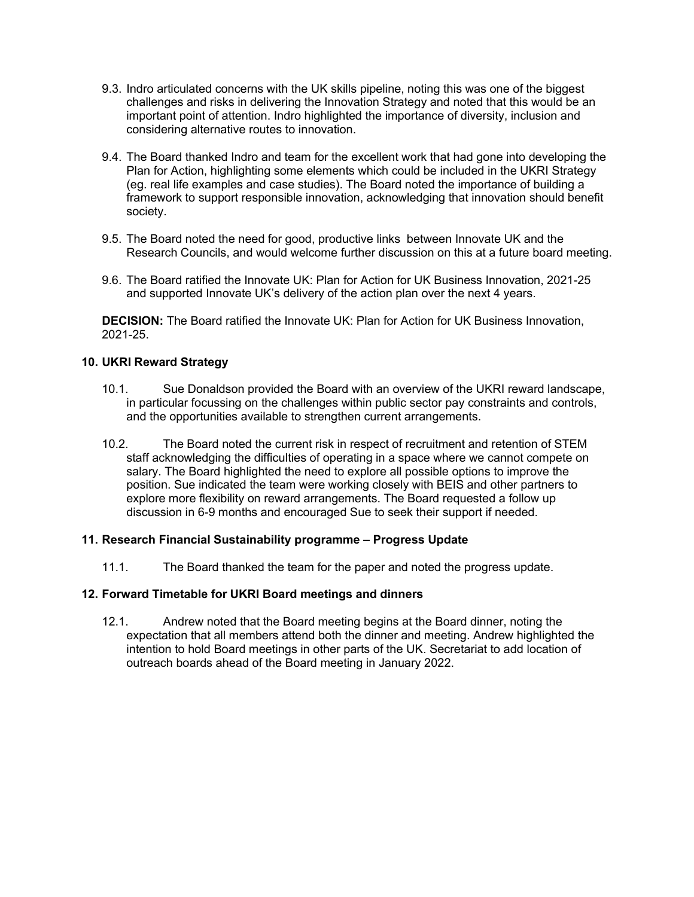- 9.3. Indro articulated concerns with the UK skills pipeline, noting this was one of the biggest challenges and risks in delivering the Innovation Strategy and noted that this would be an important point of attention. Indro highlighted the importance of diversity, inclusion and considering alternative routes to innovation.
- 9.4. The Board thanked Indro and team for the excellent work that had gone into developing the Plan for Action, highlighting some elements which could be included in the UKRI Strategy (eg. real life examples and case studies). The Board noted the importance of building a framework to support responsible innovation, acknowledging that innovation should benefit society.
- 9.5. The Board noted the need for good, productive links between Innovate UK and the Research Councils, and would welcome further discussion on this at a future board meeting.
- 9.6. The Board ratified the Innovate UK: Plan for Action for UK Business Innovation, 2021-25 and supported Innovate UK's delivery of the action plan over the next 4 years.

**DECISION:** The Board ratified the Innovate UK: Plan for Action for UK Business Innovation, 2021-25.

## **10. UKRI Reward Strategy**

- 10.1. Sue Donaldson provided the Board with an overview of the UKRI reward landscape, in particular focussing on the challenges within public sector pay constraints and controls, and the opportunities available to strengthen current arrangements.
- 10.2. The Board noted the current risk in respect of recruitment and retention of STEM staff acknowledging the difficulties of operating in a space where we cannot compete on salary. The Board highlighted the need to explore all possible options to improve the position. Sue indicated the team were working closely with BEIS and other partners to explore more flexibility on reward arrangements. The Board requested a follow up discussion in 6-9 months and encouraged Sue to seek their support if needed.

#### **11. Research Financial Sustainability programme – Progress Update**

11.1. The Board thanked the team for the paper and noted the progress update.

#### **12. Forward Timetable for UKRI Board meetings and dinners**

12.1. Andrew noted that the Board meeting begins at the Board dinner, noting the expectation that all members attend both the dinner and meeting. Andrew highlighted the intention to hold Board meetings in other parts of the UK. Secretariat to add location of outreach boards ahead of the Board meeting in January 2022.